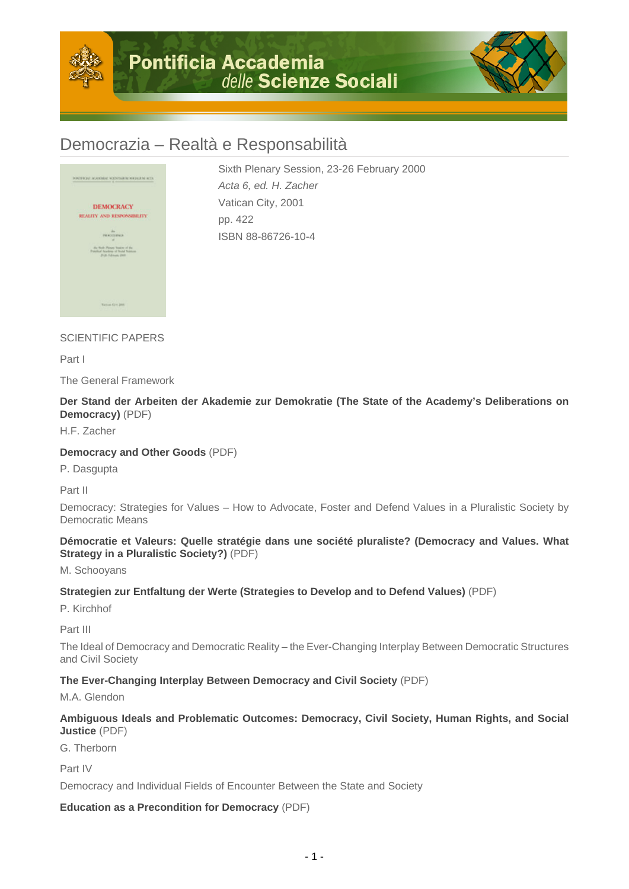



# Democrazia – Realtà e Responsabilità



Sixth Plenary Session, 23-26 February 2000 Acta 6, ed. H. Zacher Vatican City, 2001 pp. 422 ISBN 88-86726-10-4

# SCIENTIFIC PAPERS

Part I

The General Framework

**Der Stand der Arbeiten der Akademie zur Demokratie (The State of the Academy's Deliberations on Democracy)** (PDF)

H.F. Zacher

#### **Democracy and Other Goods** (PDF)

P. Dasgupta

Part II

Democracy: Strategies for Values – How to Advocate, Foster and Defend Values in a Pluralistic Society by Democratic Means

**Démocratie et Valeurs: Quelle stratégie dans une société pluraliste? (Democracy and Values. What Strategy in a Pluralistic Society?)** (PDF)

M. Schooyans

#### **Strategien zur Entfaltung der Werte (Strategies to Develop and to Defend Values)** (PDF)

P. Kirchhof

Part III

The Ideal of Democracy and Democratic Reality – the Ever-Changing Interplay Between Democratic Structures and Civil Society

#### **The Ever-Changing Interplay Between Democracy and Civil Society** (PDF)

M.A. Glendon

#### **Ambiguous Ideals and Problematic Outcomes: Democracy, Civil Society, Human Rights, and Social Justice** (PDF)

G. Therborn

Part IV

Democracy and Individual Fields of Encounter Between the State and Society

#### **Education as a Precondition for Democracy** (PDF)